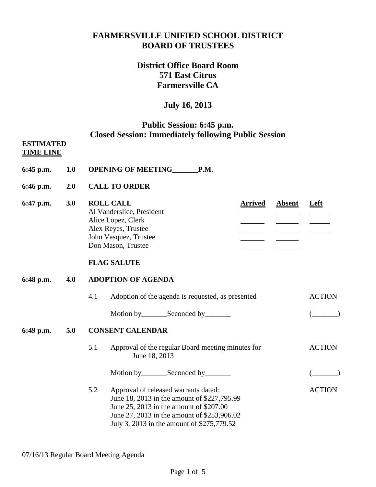## **FARMERSVILLE UNIFIED SCHOOL DISTRICT BOARD OF TRUSTEES**

# **District Office Board Room 571 East Citrus Farmersville CA**

# **July 16, 2013**

### **Public Session: 6:45 p.m. Closed Session: Immediately following Public Session**

#### **ESTIMATED TIME LINE**

- **6:45 p.m. 1.0 OPENING OF MEETING\_\_\_\_\_\_\_P.M.**
- **6:46 p.m. 2.0 CALL TO ORDER**
- **6:47 p.m. 3.0 ROLL CALL Arrived Absent Left** Al Vanderslice, President  $\frac{1}{\sqrt{1-\frac{1}{2}}\sqrt{1-\frac{1}{2}}\sqrt{1-\frac{1}{2}}\sqrt{1-\frac{1}{2}}\sqrt{1-\frac{1}{2}}\sqrt{1-\frac{1}{2}}\sqrt{1-\frac{1}{2}}\sqrt{1-\frac{1}{2}}\sqrt{1-\frac{1}{2}}\sqrt{1-\frac{1}{2}}\sqrt{1-\frac{1}{2}}\sqrt{1-\frac{1}{2}}\sqrt{1-\frac{1}{2}}\sqrt{1-\frac{1}{2}}\sqrt{1-\frac{1}{2}}\sqrt{1-\frac{1}{2}}\sqrt{1-\frac{1}{2}}\sqrt{1-\frac{1}{2}}\sqrt{1-\frac{1}{2}}\sqrt{1-\frac$ Alice Lopez, Clerk Alex Reyes, Trustee  $\frac{1}{\sqrt{2\pi}}\left( \frac{1}{\sqrt{2\pi}}\right) \left( \frac{1}{\sqrt{2\pi}}\right) \left( \frac{1}{\sqrt{2\pi}}\right) \left( \frac{1}{\sqrt{2\pi}}\right) \left( \frac{1}{\sqrt{2\pi}}\right) \left( \frac{1}{\sqrt{2\pi}}\right) \left( \frac{1}{\sqrt{2\pi}}\right) \left( \frac{1}{\sqrt{2\pi}}\right) \left( \frac{1}{\sqrt{2\pi}}\right) \left( \frac{1}{\sqrt{2\pi}}\right) \left( \frac{1}{\sqrt{2\pi}}\right) \left( \frac{1}{\sqrt$ John Vasquez, Trustee Don Mason, Trustee

### **FLAG SALUTE**

### **6:48 p.m. 4.0 ADOPTION OF AGENDA**

4.1 Adoption of the agenda is requested, as presented ACTION Motion by Seconded by (Compact of Compact of Compact of Compact of Compact of Compact of Compact of Compact of Compact of Compact of Compact of Compact of Compact of Compact of Compact of Compact of Compact of Compact of C

### **6:49 p.m. 5.0 CONSENT CALENDAR**

- 5.1 Approval of the regular Board meeting minutes for ACTION June 18, 2013
	- Motion by\_\_\_\_\_\_\_Seconded by\_\_\_\_\_\_\_ (\_\_\_\_\_\_\_)
- 5.2 Approval of released warrants dated: ACTION June 18, 2013 in the amount of \$227,795.99 June 25, 2013 in the amount of \$207.00 June 27, 2013 in the amount of \$253,906.02 July 3, 2013 in the amount of \$275,779.52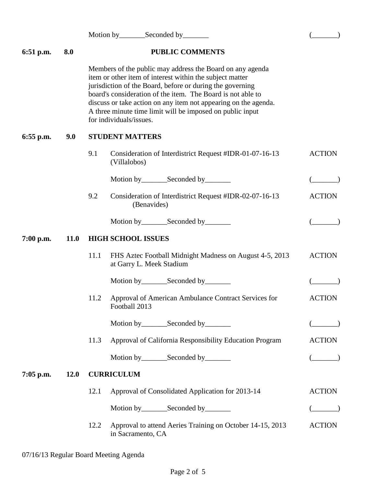Motion by Seconded by (2008) **6:51 p.m. 8.0 PUBLIC COMMENTS** Members of the public may address the Board on any agenda item or other item of interest within the subject matter jurisdiction of the Board, before or during the governing board's consideration of the item. The Board is not able to discuss or take action on any item not appearing on the agenda. A three minute time limit will be imposed on public input for individuals/issues. **6:55 p.m. 9.0 STUDENT MATTERS** 9.1 Consideration of Interdistrict Request #IDR-01-07-16-13 ACTION (Villalobos) Motion by\_\_\_\_\_\_\_Seconded by\_\_\_\_\_\_\_ (\_\_\_\_\_\_\_) 9.2 Consideration of Interdistrict Request #IDR-02-07-16-13 ACTION (Benavides) Motion by\_\_\_\_\_\_\_Seconded by\_\_\_\_\_\_\_ (\_\_\_\_\_\_\_) **7:00 p.m. 11.0 HIGH SCHOOL ISSUES** 11.1 FHS Aztec Football Midnight Madness on August 4-5, 2013 ACTION at Garry L. Meek Stadium Motion by\_\_\_\_\_\_\_Seconded by\_\_\_\_\_\_\_ (\_\_\_\_\_\_\_) 11.2 Approval of American Ambulance Contract Services for ACTION Football 2013 Motion by Seconded by (2004) 11.3 Approval of California Responsibility Education Program ACTION Motion by Seconded by (Compact of Compact of Compact of Compact of Compact of Compact of Compact of Compact of Compact of Compact of Compact of Compact of Compact of Compact of Compact of Compact of Compact of Compact of C **7:05 p.m. 12.0 CURRICULUM** 12.1 Approval of Consolidated Application for 2013-14 ACTION Motion by\_\_\_\_\_\_\_Seconded by\_\_\_\_\_\_\_ (\_\_\_\_\_\_\_) 12.2 Approval to attend Aeries Training on October 14-15, 2013 ACTION in Sacramento, CA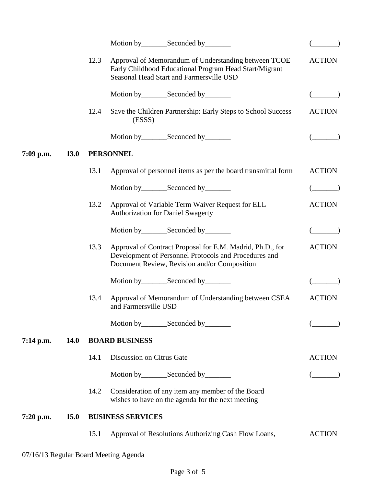|             |             | 12.3                  | Approval of Memorandum of Understanding between TCOE<br>Early Childhood Educational Program Head Start/Migrant<br>Seasonal Head Start and Farmersville USD         | <b>ACTION</b> |  |  |  |  |
|-------------|-------------|-----------------------|--------------------------------------------------------------------------------------------------------------------------------------------------------------------|---------------|--|--|--|--|
|             |             |                       |                                                                                                                                                                    |               |  |  |  |  |
|             |             | 12.4                  | Save the Children Partnership: Early Steps to School Success<br>(ESSS)                                                                                             | <b>ACTION</b> |  |  |  |  |
|             |             |                       |                                                                                                                                                                    |               |  |  |  |  |
| 7:09 p.m.   | <b>13.0</b> | <b>PERSONNEL</b>      |                                                                                                                                                                    |               |  |  |  |  |
|             |             | 13.1                  | Approval of personnel items as per the board transmittal form                                                                                                      | <b>ACTION</b> |  |  |  |  |
|             |             |                       |                                                                                                                                                                    |               |  |  |  |  |
|             |             | 13.2                  | Approval of Variable Term Waiver Request for ELL<br><b>Authorization for Daniel Swagerty</b>                                                                       | <b>ACTION</b> |  |  |  |  |
|             |             |                       | Motion by_________Seconded by________                                                                                                                              |               |  |  |  |  |
|             |             | 13.3                  | Approval of Contract Proposal for E.M. Madrid, Ph.D., for<br>Development of Personnel Protocols and Procedures and<br>Document Review, Revision and/or Composition | <b>ACTION</b> |  |  |  |  |
|             |             |                       | Motion by_________Seconded by________                                                                                                                              |               |  |  |  |  |
|             |             | 13.4                  | Approval of Memorandum of Understanding between CSEA<br>and Farmersville USD                                                                                       | ACTION        |  |  |  |  |
|             |             |                       |                                                                                                                                                                    |               |  |  |  |  |
| $7:14$ p.m. | <b>14.0</b> | <b>BOARD BUSINESS</b> |                                                                                                                                                                    |               |  |  |  |  |
|             |             | 14.1                  | Discussion on Citrus Gate                                                                                                                                          | <b>ACTION</b> |  |  |  |  |
|             |             |                       | Motion by __________ Seconded by _________                                                                                                                         |               |  |  |  |  |
|             |             | 14.2                  | Consideration of any item any member of the Board<br>wishes to have on the agenda for the next meeting                                                             |               |  |  |  |  |
| $7:20$ p.m. | <b>15.0</b> |                       | <b>BUSINESS SERVICES</b>                                                                                                                                           |               |  |  |  |  |
|             |             | 15.1                  | Approval of Resolutions Authorizing Cash Flow Loans,                                                                                                               | <b>ACTION</b> |  |  |  |  |
|             |             |                       | 07/16/13 Regular Board Meeting Agenda                                                                                                                              |               |  |  |  |  |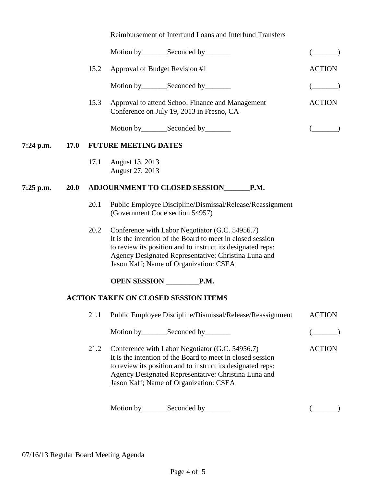| Reimbursement of Interfund Loans and Interfund Transfers |  |  |
|----------------------------------------------------------|--|--|
|----------------------------------------------------------|--|--|

|           |             | 15.2 | Approval of Budget Revision #1                                                                                                                                                                                                                                                 | <b>ACTION</b> |  |
|-----------|-------------|------|--------------------------------------------------------------------------------------------------------------------------------------------------------------------------------------------------------------------------------------------------------------------------------|---------------|--|
|           |             |      | Motion by_________Seconded by________                                                                                                                                                                                                                                          |               |  |
|           |             | 15.3 | Approval to attend School Finance and Management<br>Conference on July 19, 2013 in Fresno, CA                                                                                                                                                                                  | <b>ACTION</b> |  |
|           |             |      | Motion by__________Seconded by_________                                                                                                                                                                                                                                        |               |  |
| 7:24 p.m. | <b>17.0</b> |      | <b>FUTURE MEETING DATES</b>                                                                                                                                                                                                                                                    |               |  |
|           |             | 17.1 | August 13, 2013<br>August 27, 2013                                                                                                                                                                                                                                             |               |  |
| 7:25 p.m. | <b>20.0</b> |      | <b>ADJOURNMENT TO CLOSED SESSION</b><br>P.M.                                                                                                                                                                                                                                   |               |  |
|           |             | 20.1 | Public Employee Discipline/Dismissal/Release/Reassignment<br>(Government Code section 54957)                                                                                                                                                                                   |               |  |
|           |             | 20.2 | Conference with Labor Negotiator (G.C. 54956.7)<br>It is the intention of the Board to meet in closed session<br>to review its position and to instruct its designated reps:<br>Agency Designated Representative: Christina Luna and<br>Jason Kaff; Name of Organization: CSEA |               |  |
|           |             |      | OPEN SESSION P.M.                                                                                                                                                                                                                                                              |               |  |
|           |             |      | <b>ACTION TAKEN ON CLOSED SESSION ITEMS</b>                                                                                                                                                                                                                                    |               |  |
|           |             |      | 21.1 Public Employee Discipline/Dismissal/Release/Reassignment                                                                                                                                                                                                                 | <b>ACTION</b> |  |
|           |             |      | Motion by_________Seconded by________                                                                                                                                                                                                                                          |               |  |
|           |             | 21.2 | Conference with Labor Negotiator (G.C. 54956.7)<br>It is the intention of the Board to meet in closed session<br>to review its position and to instruct its designated reps:<br>Agency Designated Representative: Christina Luna and<br>Jason Kaff; Name of Organization: CSEA | <b>ACTION</b> |  |
|           |             |      | Seconded by<br>Motion by $\_\_$                                                                                                                                                                                                                                                |               |  |